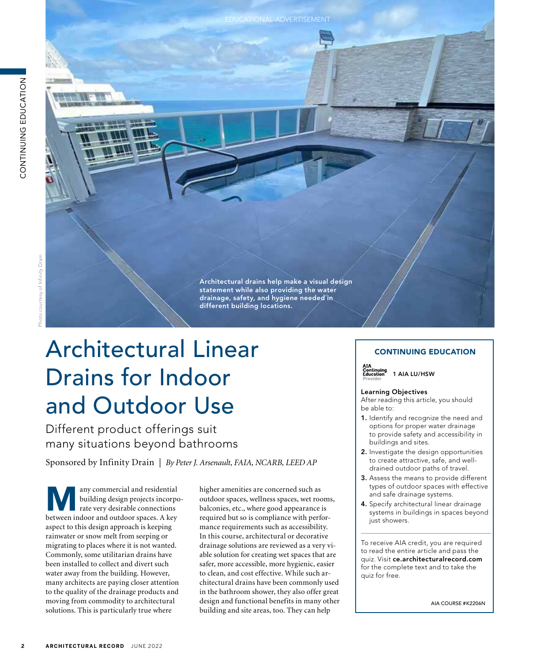

Architectural drains help make a visual design statement while also providing the water drainage, safety, and hygiene needed in different building locations.

# Architectural Linear Drains for Indoor and Outdoor Use

Different product offerings suit many situations beyond bathrooms

Sponsored by Infinity Drain | *By Peter J. Arsenault, FAIA, NCARB, LEED AP*

**2 ARCHITECTURAL RECORD**<br> **2 ARCHITECTURAL RECORD**<br> **2 ARCHITECTURE 2022**<br> **2 ARCHITECTURE 2022**<br> **2 ARCHITECTURE 2022**<br> **2 ARCHITECTURE 2022**<br> **2 ARCHITECTURE 2022**<br> **2 ARCHITECTURAL RECORD**<br> **2 ARCHITEC** Many commercial and residential<br>building design projects incorported by<br>the very desirable connections<br>between index and outdoor masses. A low building design projects incorporate very desirable connections between indoor and outdoor spaces. A key aspect to this design approach is keeping rainwater or snow melt from seeping or migrating to places where it is not wanted. Commonly, some utilitarian drains have been installed to collect and divert such water away from the building. However, many architects are paying closer attention to the quality of the drainage products and moving from commodity to architectural solutions. This is particularly true where

higher amenities are concerned such as outdoor spaces, wellness spaces, wet rooms, balconies, etc., where good appearance is required but so is compliance with performance requirements such as accessibility. In this course, architectural or decorative drainage solutions are reviewed as a very viable solution for creating wet spaces that are safer, more accessible, more hygienic, easier to clean, and cost effective. While such architectural drains have been commonly used in the bathroom shower, they also offer great design and functional benefits in many other building and site areas, too. They can help

# CONTINUING EDUCATION

1 AIA LU/HSW

#### Learning Objectives

After reading this article, you should be able to:

- 1. Identify and recognize the need and options for proper water drainage to provide safety and accessibility in buildings and sites.
- 2. Investigate the design opportunities to create attractive, safe, and welldrained outdoor paths of travel.
- 3. Assess the means to provide different types of outdoor spaces with effective and safe drainage systems.
- 4. Specify architectural linear drainage systems in buildings in spaces beyond just showers.

To receive AIA credit, you are required to read the entire article and pass the quiz. Visit ce.architecturalrecord.com for the complete text and to take the quiz for free.

AIA COURSE #K2206N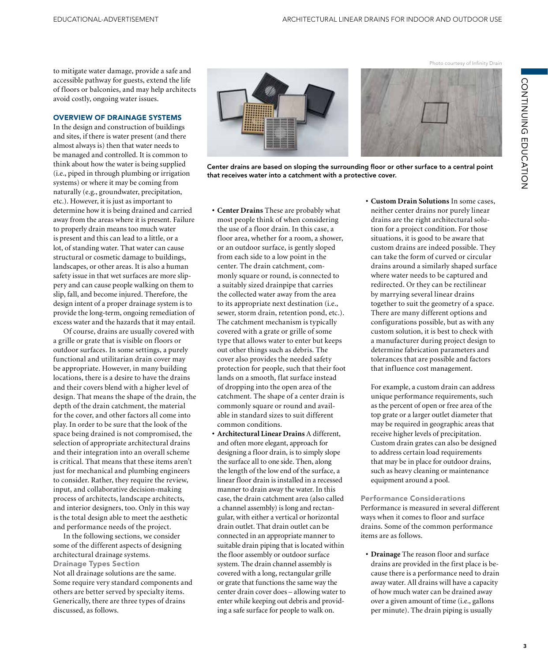CONTINUING EDUCATION CONTINUING EDUCATION

Center drains are based on sloping the surrounding floor or other surface to a central point that receives water into a catchment with a protective cover.

- **• Center Drains** These are probably what most people think of when considering the use of a floor drain. In this case, a floor area, whether for a room, a shower, or an outdoor surface, is gently sloped from each side to a low point in the center. The drain catchment, commonly square or round, is connected to a suitably sized drainpipe that carries the collected water away from the area to its appropriate next destination (i.e., sewer, storm drain, retention pond, etc.). The catchment mechanism is typically covered with a grate or grille of some type that allows water to enter but keeps out other things such as debris. The cover also provides the needed safety protection for people, such that their foot lands on a smooth, flat surface instead of dropping into the open area of the catchment. The shape of a center drain is commonly square or round and available in standard sizes to suit different common conditions.
	- **• Architectural Linear Drains** A different, and often more elegant, approach for designing a floor drain, is to simply slope the surface all to one side. Then, along the length of the low end of the surface, a linear floor drain is installed in a recessed manner to drain away the water. In this case, the drain catchment area (also called a channel assembly) is long and rectangular, with either a vertical or horizontal drain outlet. That drain outlet can be connected in an appropriate manner to suitable drain piping that is located within the floor assembly or outdoor surface system. The drain channel assembly is covered with a long, rectangular grille or grate that functions the same way the center drain cover does – allowing water to enter while keeping out debris and providing a safe surface for people to walk on.
- **• Custom Drain Solutions** In some cases, neither center drains nor purely linear drains are the right architectural solution for a project condition. For those situations, it is good to be aware that custom drains are indeed possible. They can take the form of curved or circular drains around a similarly shaped surface where water needs to be captured and redirected. Or they can be rectilinear by marrying several linear drains together to suit the geometry of a space. There are many different options and configurations possible, but as with any custom solution, it is best to check with a manufacturer during project design to determine fabrication parameters and tolerances that are possible and factors that influence cost management.

For example, a custom drain can address unique performance requirements, such as the percent of open or free area of the top grate or a larger outlet diameter that may be required in geographic areas that receive higher levels of precipitation. Custom drain grates can also be designed to address certain load requirements that may be in place for outdoor drains, such as heavy cleaning or maintenance equipment around a pool.

# Performance Considerations

Performance is measured in several different ways when it comes to floor and surface drains. Some of the common performance items are as follows.

**• Drainage** The reason floor and surface drains are provided in the first place is because there is a performance need to drain away water. All drains will have a capacity of how much water can be drained away over a given amount of time (i.e., gallons per minute). The drain piping is usually

to mitigate water damage, provide a safe and accessible pathway for guests, extend the life of floors or balconies, and may help architects avoid costly, ongoing water issues.

#### OVERVIEW OF DRAINAGE SYSTEMS

In the design and construction of buildings and sites, if there is water present (and there almost always is) then that water needs to be managed and controlled. It is common to think about how the water is being supplied (i.e., piped in through plumbing or irrigation systems) or where it may be coming from naturally (e.g., groundwater, precipitation, etc.). However, it is just as important to determine how it is being drained and carried away from the areas where it is present. Failure to properly drain means too much water is present and this can lead to a little, or a lot, of standing water. That water can cause structural or cosmetic damage to buildings, landscapes, or other areas. It is also a human safety issue in that wet surfaces are more slippery and can cause people walking on them to slip, fall, and become injured. Therefore, the design intent of a proper drainage system is to provide the long-term, ongoing remediation of excess water and the hazards that it may entail.

Of course, drains are usually covered with a grille or grate that is visible on floors or outdoor surfaces. In some settings, a purely functional and utilitarian drain cover may be appropriate. However, in many building locations, there is a desire to have the drains and their covers blend with a higher level of design. That means the shape of the drain, the depth of the drain catchment, the material for the cover, and other factors all come into play. In order to be sure that the look of the space being drained is not compromised, the selection of appropriate architectural drains and their integration into an overall scheme is critical. That means that these items aren't just for mechanical and plumbing engineers to consider. Rather, they require the review, input, and collaborative decision-making process of architects, landscape architects, and interior designers, too. Only in this way is the total design able to meet the aesthetic and performance needs of the project.

In the following sections, we consider some of the different aspects of designing architectural drainage systems. Drainage Types Section Not all drainage solutions are the same. Some require very standard components and others are better served by specialty items. Generically, there are three types of drains discussed, as follows.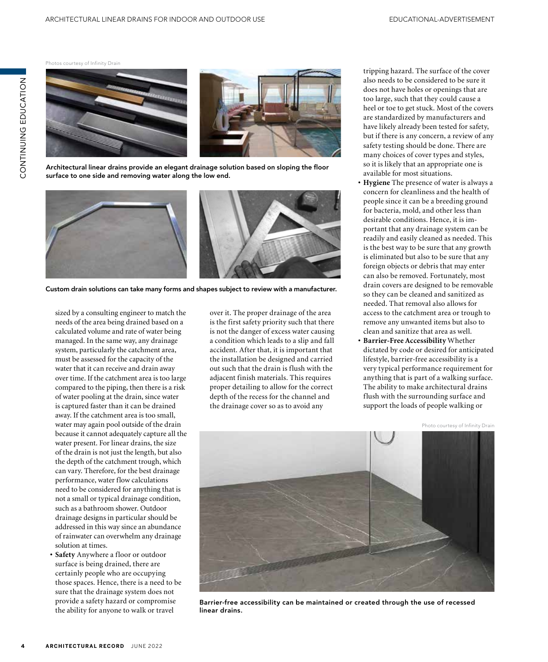

Architectural linear drains provide an elegant drainage solution based on sloping the floor surface to one side and removing water along the low end.



Custom drain solutions can take many forms and shapes subject to review with a manufacturer.

sized by a consulting engineer to match the needs of the area being drained based on a calculated volume and rate of water being managed. In the same way, any drainage system, particularly the catchment area, must be assessed for the capacity of the water that it can receive and drain away over time. If the catchment area is too large compared to the piping, then there is a risk of water pooling at the drain, since water is captured faster than it can be drained away. If the catchment area is too small, water may again pool outside of the drain because it cannot adequately capture all the water present. For linear drains, the size of the drain is not just the length, but also the depth of the catchment trough, which can vary. Therefore, for the best drainage performance, water flow calculations need to be considered for anything that is not a small or typical drainage condition, such as a bathroom shower. Outdoor drainage designs in particular should be addressed in this way since an abundance of rainwater can overwhelm any drainage solution at times.

**• Safety** Anywhere a floor or outdoor surface is being drained, there are certainly people who are occupying those spaces. Hence, there is a need to be sure that the drainage system does not provide a safety hazard or compromise the ability for anyone to walk or travel

over it. The proper drainage of the area is the first safety priority such that there is not the danger of excess water causing a condition which leads to a slip and fall accident. After that, it is important that the installation be designed and carried out such that the drain is flush with the adjacent finish materials. This requires proper detailing to allow for the correct depth of the recess for the channel and the drainage cover so as to avoid any

tripping hazard. The surface of the cover also needs to be considered to be sure it does not have holes or openings that are too large, such that they could cause a heel or toe to get stuck. Most of the covers are standardized by manufacturers and have likely already been tested for safety, but if there is any concern, a review of any safety testing should be done. There are many choices of cover types and styles, so it is likely that an appropriate one is available for most situations.

- **• Hygiene** The presence of water is always a concern for cleanliness and the health of people since it can be a breeding ground for bacteria, mold, and other less than desirable conditions. Hence, it is important that any drainage system can be readily and easily cleaned as needed. This is the best way to be sure that any growth is eliminated but also to be sure that any foreign objects or debris that may enter can also be removed. Fortunately, most drain covers are designed to be removable so they can be cleaned and sanitized as needed. That removal also allows for access to the catchment area or trough to remove any unwanted items but also to clean and sanitize that area as well.
- **• Barrier-Free Accessibility** Whether dictated by code or desired for anticipated lifestyle, barrier-free accessibility is a very typical performance requirement for anything that is part of a walking surface. The ability to make architectural drains flush with the surrounding surface and support the loads of people walking or

Photo courtesy of Infinity Drain



Barrier-free accessibility can be maintained or created through the use of recessed linear drains.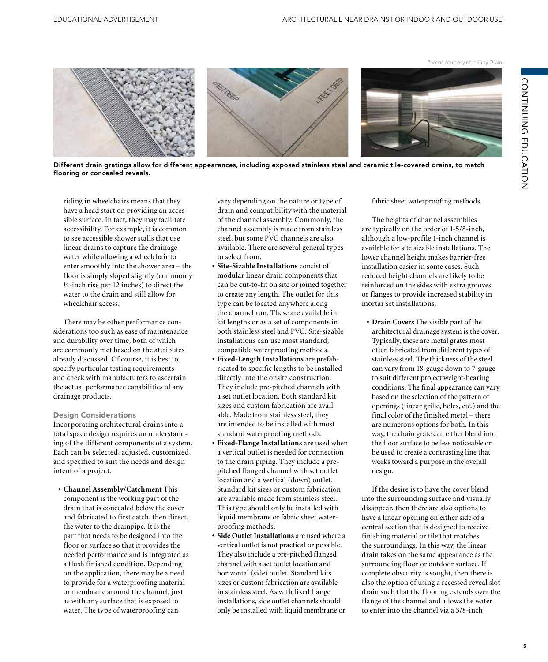

Different drain gratings allow for different appearances, including exposed stainless steel and ceramic tile-covered drains, to match flooring or concealed reveals.

riding in wheelchairs means that they have a head start on providing an accessible surface. In fact, they may facilitate accessibility. For example, it is common to see accessible shower stalls that use linear drains to capture the drainage water while allowing a wheelchair to enter smoothly into the shower area – the floor is simply sloped slightly (commonly ¼-inch rise per 12 inches) to direct the water to the drain and still allow for wheelchair access.

There may be other performance considerations too such as ease of maintenance and durability over time, both of which are commonly met based on the attributes already discussed. Of course, it is best to specify particular testing requirements and check with manufacturers to ascertain the actual performance capabilities of any drainage products.

# Design Considerations

Incorporating architectural drains into a total space design requires an understanding of the different components of a system. Each can be selected, adjusted, customized, and specified to suit the needs and design intent of a project.

**• Channel Assembly/Catchment** This component is the working part of the drain that is concealed below the cover and fabricated to first catch, then direct, the water to the drainpipe. It is the part that needs to be designed into the floor or surface so that it provides the needed performance and is integrated as a flush finished condition. Depending on the application, there may be a need to provide for a waterproofing material or membrane around the channel, just as with any surface that is exposed to water. The type of waterproofing can

vary depending on the nature or type of drain and compatibility with the material of the channel assembly. Commonly, the channel assembly is made from stainless steel, but some PVC channels are also available. There are several general types to select from.

- **• Site-Sizable Installations** consist of modular linear drain components that can be cut-to-fit on site or joined together to create any length. The outlet for this type can be located anywhere along the channel run. These are available in kit lengths or as a set of components in both stainless steel and PVC. Site-sizable installations can use most standard, compatible waterproofing methods.
- **• Fixed-Length Installations** are prefabricated to specific lengths to be installed directly into the onsite construction. They include pre-pitched channels with a set outlet location. Both standard kit sizes and custom fabrication are available. Made from stainless steel, they are intended to be installed with most standard waterproofing methods.
- **• Fixed-Flange Installations** are used when a vertical outlet is needed for connection to the drain piping. They include a prepitched flanged channel with set outlet location and a vertical (down) outlet. Standard kit sizes or custom fabrication are available made from stainless steel. This type should only be installed with liquid membrane or fabric sheet waterproofing methods.
- **• Side Outlet Installations** are used where a vertical outlet is not practical or possible. They also include a pre-pitched flanged channel with a set outlet location and horizontal (side) outlet. Standard kits sizes or custom fabrication are available in stainless steel. As with fixed flange installations, side outlet channels should only be installed with liquid membrane or

fabric sheet waterproofing methods.

The heights of channel assemblies are typically on the order of 1-5/8-inch, although a low-profile 1-inch channel is available for site sizable installations. The lower channel height makes barrier-free installation easier in some cases. Such reduced height channels are likely to be reinforced on the sides with extra grooves or flanges to provide increased stability in mortar set installations.

**• Drain Covers** The visible part of the architectural drainage system is the cover. Typically, these are metal grates most often fabricated from different types of stainless steel. The thickness of the steel can vary from 18-gauge down to 7-gauge to suit different project weight-bearing conditions. The final appearance can vary based on the selection of the pattern of openings (linear grille, holes, etc.) and the final color of the finished metal – there are numerous options for both. In this way, the drain grate can either blend into the floor surface to be less noticeable or be used to create a contrasting line that works toward a purpose in the overall design.

If the desire is to have the cover blend into the surrounding surface and visually disappear, then there are also options to have a linear opening on either side of a central section that is designed to receive finishing material or tile that matches the surroundings. In this way, the linear drain takes on the same appearance as the surrounding floor or outdoor surface. If complete obscurity is sought, then there is also the option of using a recessed reveal slot drain such that the flooring extends over the flange of the channel and allows the water to enter into the channel via a 3/8-inch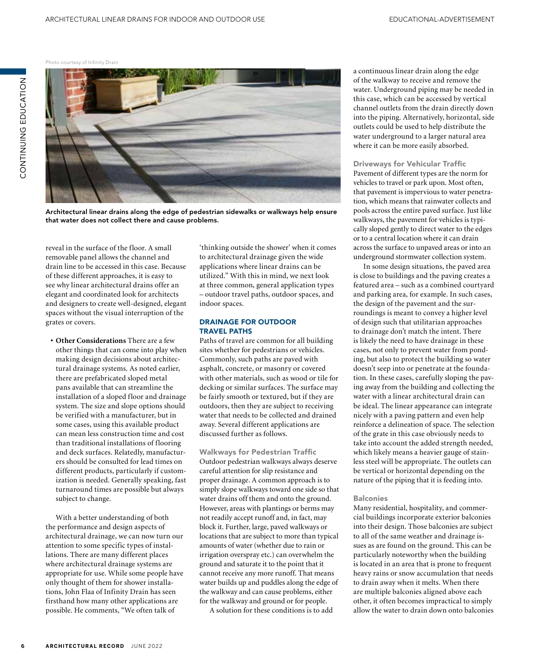

Architectural linear drains along the edge of pedestrian sidewalks or walkways help ensure that water does not collect there and cause problems.

reveal in the surface of the floor. A small removable panel allows the channel and drain line to be accessed in this case. Because of these different approaches, it is easy to see why linear architectural drains offer an elegant and coordinated look for architects and designers to create well-designed, elegant spaces without the visual interruption of the grates or covers.

**• Other Considerations** There are a few other things that can come into play when making design decisions about architectural drainage systems. As noted earlier, there are prefabricated sloped metal pans available that can streamline the installation of a sloped floor and drainage system. The size and slope options should be verified with a manufacturer, but in some cases, using this available product can mean less construction time and cost than traditional installations of flooring and deck surfaces. Relatedly, manufacturers should be consulted for lead times on different products, particularly if customization is needed. Generally speaking, fast turnaround times are possible but always subject to change.

With a better understanding of both the performance and design aspects of architectural drainage, we can now turn our attention to some specific types of installations. There are many different places where architectural drainage systems are appropriate for use. While some people have only thought of them for shower installations, John Flaa of Infinity Drain has seen firsthand how many other applications are possible. He comments, "We often talk of

'thinking outside the shower' when it comes to architectural drainage given the wide applications where linear drains can be utilized." With this in mind, we next look at three common, general application types – outdoor travel paths, outdoor spaces, and indoor spaces.

## DRAINAGE FOR OUTDOOR TRAVEL PATHS

Paths of travel are common for all building sites whether for pedestrians or vehicles. Commonly, such paths are paved with asphalt, concrete, or masonry or covered with other materials, such as wood or tile for decking or similar surfaces. The surface may be fairly smooth or textured, but if they are outdoors, then they are subject to receiving water that needs to be collected and drained away. Several different applications are discussed further as follows.

Walkways for Pedestrian Traffic Outdoor pedestrian walkways always deserve careful attention for slip resistance and proper drainage. A common approach is to simply slope walkways toward one side so that water drains off them and onto the ground. However, areas with plantings or berms may not readily accept runoff and, in fact, may block it. Further, large, paved walkways or locations that are subject to more than typical amounts of water (whether due to rain or irrigation overspray etc.) can overwhelm the ground and saturate it to the point that it cannot receive any more runoff. That means water builds up and puddles along the edge of the walkway and can cause problems, either for the walkway and ground or for people.

A solution for these conditions is to add

a continuous linear drain along the edge of the walkway to receive and remove the water. Underground piping may be needed in this case, which can be accessed by vertical channel outlets from the drain directly down into the piping. Alternatively, horizontal, side outlets could be used to help distribute the water underground to a larger natural area where it can be more easily absorbed.

Driveways for Vehicular Traffic Pavement of different types are the norm for vehicles to travel or park upon. Most often, that pavement is impervious to water penetration, which means that rainwater collects and pools across the entire paved surface. Just like walkways, the pavement for vehicles is typically sloped gently to direct water to the edges or to a central location where it can drain across the surface to unpaved areas or into an underground stormwater collection system.

In some design situations, the paved area is close to buildings and the paving creates a featured area – such as a combined courtyard and parking area, for example. In such cases, the design of the pavement and the surroundings is meant to convey a higher level of design such that utilitarian approaches to drainage don't match the intent. There is likely the need to have drainage in these cases, not only to prevent water from ponding, but also to protect the building so water doesn't seep into or penetrate at the foundation. In these cases, carefully sloping the paving away from the building and collecting the water with a linear architectural drain can be ideal. The linear appearance can integrate nicely with a paving pattern and even help reinforce a delineation of space. The selection of the grate in this case obviously needs to take into account the added strength needed, which likely means a heavier gauge of stainless steel will be appropriate. The outlets can be vertical or horizontal depending on the nature of the piping that it is feeding into.

# **Balconies**

Many residential, hospitality, and commercial buildings incorporate exterior balconies into their design. Those balconies are subject to all of the same weather and drainage issues as are found on the ground. This can be particularly noteworthy when the building is located in an area that is prone to frequent heavy rains or snow accumulation that needs to drain away when it melts. When there are multiple balconies aligned above each other, it often becomes impractical to simply allow the water to drain down onto balconies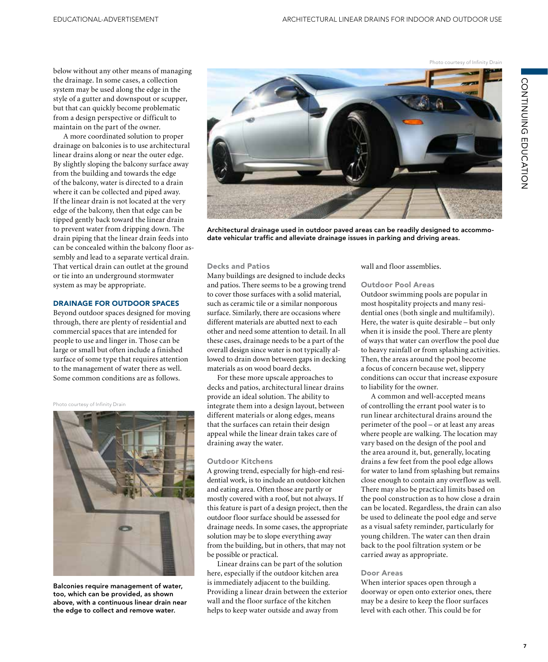below without any other means of managing the drainage. In some cases, a collection system may be used along the edge in the style of a gutter and downspout or scupper, but that can quickly become problematic from a design perspective or difficult to maintain on the part of the owner.

A more coordinated solution to proper drainage on balconies is to use architectural linear drains along or near the outer edge. By slightly sloping the balcony surface away from the building and towards the edge of the balcony, water is directed to a drain where it can be collected and piped away. If the linear drain is not located at the very edge of the balcony, then that edge can be tipped gently back toward the linear drain to prevent water from dripping down. The drain piping that the linear drain feeds into can be concealed within the balcony floor assembly and lead to a separate vertical drain. That vertical drain can outlet at the ground or tie into an underground stormwater system as may be appropriate.

# DRAINAGE FOR OUTDOOR SPACES

Beyond outdoor spaces designed for moving through, there are plenty of residential and commercial spaces that are intended for people to use and linger in. Those can be large or small but often include a finished surface of some type that requires attention to the management of water there as well. Some common conditions are as follows.

courtesy of Infinity Drain



Balconies require management of water, too, which can be provided, as shown above, with a continuous linear drain near the edge to collect and remove water.



Architectural drainage used in outdoor paved areas can be readily designed to accommodate vehicular traffic and alleviate drainage issues in parking and driving areas.

#### Decks and Patios

Many buildings are designed to include decks and patios. There seems to be a growing trend to cover those surfaces with a solid material, such as ceramic tile or a similar nonporous surface. Similarly, there are occasions where different materials are abutted next to each other and need some attention to detail. In all these cases, drainage needs to be a part of the overall design since water is not typically allowed to drain down between gaps in decking materials as on wood board decks.

For these more upscale approaches to decks and patios, architectural linear drains provide an ideal solution. The ability to integrate them into a design layout, between different materials or along edges, means that the surfaces can retain their design appeal while the linear drain takes care of draining away the water.

#### Outdoor Kitchens

A growing trend, especially for high-end residential work, is to include an outdoor kitchen and eating area. Often those are partly or mostly covered with a roof, but not always. If this feature is part of a design project, then the outdoor floor surface should be assessed for drainage needs. In some cases, the appropriate solution may be to slope everything away from the building, but in others, that may not be possible or practical.

Linear drains can be part of the solution here, especially if the outdoor kitchen area is immediately adjacent to the building. Providing a linear drain between the exterior wall and the floor surface of the kitchen helps to keep water outside and away from

wall and floor assemblies.

#### Outdoor Pool Areas

Outdoor swimming pools are popular in most hospitality projects and many residential ones (both single and multifamily). Here, the water is quite desirable – but only when it is inside the pool. There are plenty of ways that water can overflow the pool due to heavy rainfall or from splashing activities. Then, the areas around the pool become a focus of concern because wet, slippery conditions can occur that increase exposure to liability for the owner.

A common and well-accepted means of controlling the errant pool water is to run linear architectural drains around the perimeter of the pool – or at least any areas where people are walking. The location may vary based on the design of the pool and the area around it, but, generally, locating drains a few feet from the pool edge allows for water to land from splashing but remains close enough to contain any overflow as well. There may also be practical limits based on the pool construction as to how close a drain can be located. Regardless, the drain can also be used to delineate the pool edge and serve as a visual safety reminder, particularly for young children. The water can then drain back to the pool filtration system or be carried away as appropriate.

#### Door Areas

When interior spaces open through a doorway or open onto exterior ones, there may be a desire to keep the floor surfaces level with each other. This could be for

Photo courtesy of Infinity Drain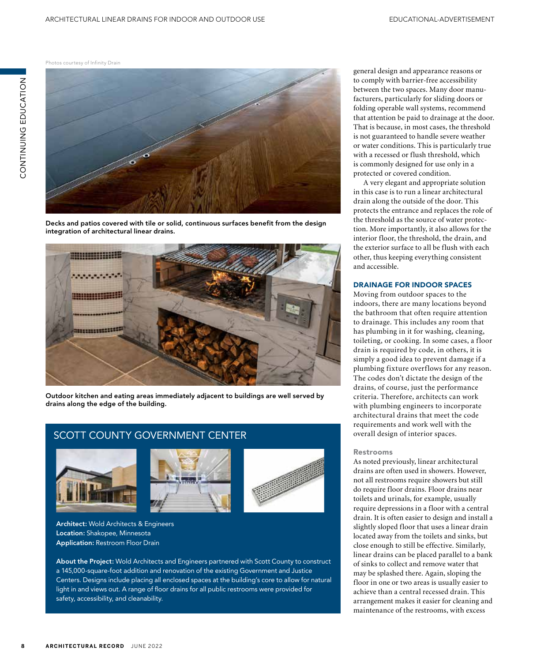

Decks and patios covered with tile or solid, continuous surfaces benefit from the design integration of architectural linear drains.



Outdoor kitchen and eating areas immediately adjacent to buildings are well served by drains along the edge of the building.

SCOTT COUNTY GOVERNMENT CENTER







Architect: Wold Architects & Engineers Location: Shakopee, Minnesota Application: Restroom Floor Drain

About the Project: Wold Architects and Engineers partnered with Scott County to construct a 145,000-square-foot addition and renovation of the existing Government and Justice Centers. Designs include placing all enclosed spaces at the building's core to allow for natural light in and views out. A range of floor drains for all public restrooms were provided for safety, accessibility, and cleanability.

general design and appearance reasons or to comply with barrier-free accessibility between the two spaces. Many door manufacturers, particularly for sliding doors or folding operable wall systems, recommend that attention be paid to drainage at the door. That is because, in most cases, the threshold is not guaranteed to handle severe weather or water conditions. This is particularly true with a recessed or flush threshold, which is commonly designed for use only in a protected or covered condition.

A very elegant and appropriate solution in this case is to run a linear architectural drain along the outside of the door. This protects the entrance and replaces the role of the threshold as the source of water protection. More importantly, it also allows for the interior floor, the threshold, the drain, and the exterior surface to all be flush with each other, thus keeping everything consistent and accessible.

### DRAINAGE FOR INDOOR SPACES

Moving from outdoor spaces to the indoors, there are many locations beyond the bathroom that often require attention to drainage. This includes any room that has plumbing in it for washing, cleaning, toileting, or cooking. In some cases, a floor drain is required by code, in others, it is simply a good idea to prevent damage if a plumbing fixture overflows for any reason. The codes don't dictate the design of the drains, of course, just the performance criteria. Therefore, architects can work with plumbing engineers to incorporate architectural drains that meet the code requirements and work well with the overall design of interior spaces.

#### Restrooms

As noted previously, linear architectural drains are often used in showers. However, not all restrooms require showers but still do require floor drains. Floor drains near toilets and urinals, for example, usually require depressions in a floor with a central drain. It is often easier to design and install a slightly sloped floor that uses a linear drain located away from the toilets and sinks, but close enough to still be effective. Similarly, linear drains can be placed parallel to a bank of sinks to collect and remove water that may be splashed there. Again, sloping the floor in one or two areas is usually easier to achieve than a central recessed drain. This arrangement makes it easier for cleaning and maintenance of the restrooms, with excess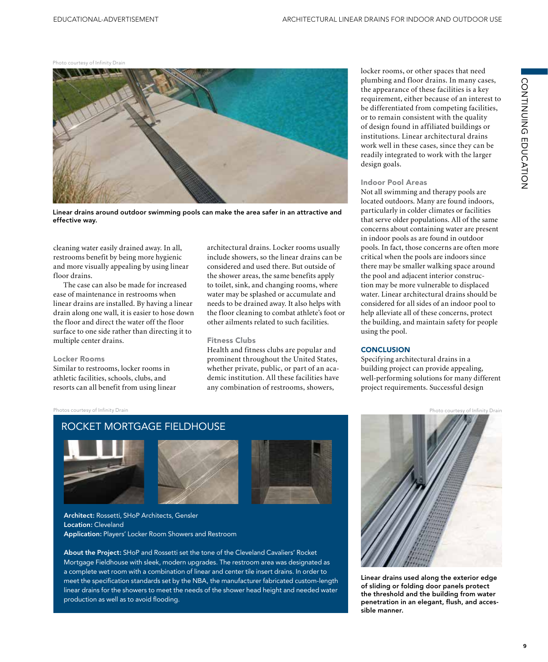

Linear drains around outdoor swimming pools can make the area safer in an attractive and effective way.

cleaning water easily drained away. In all, restrooms benefit by being more hygienic and more visually appealing by using linear floor drains.

The case can also be made for increased ease of maintenance in restrooms when linear drains are installed. By having a linear drain along one wall, it is easier to hose down the floor and direct the water off the floor surface to one side rather than directing it to multiple center drains.

#### Locker Rooms

Similar to restrooms, locker rooms in athletic facilities, schools, clubs, and resorts can all benefit from using linear architectural drains. Locker rooms usually include showers, so the linear drains can be considered and used there. But outside of the shower areas, the same benefits apply to toilet, sink, and changing rooms, where water may be splashed or accumulate and needs to be drained away. It also helps with the floor cleaning to combat athlete's foot or other ailments related to such facilities.

# Fitness Clubs

Health and fitness clubs are popular and prominent throughout the United States, whether private, public, or part of an academic institution. All these facilities have any combination of restrooms, showers,

locker rooms, or other spaces that need plumbing and floor drains. In many cases, the appearance of these facilities is a key requirement, either because of an interest to be differentiated from competing facilities, or to remain consistent with the quality of design found in affiliated buildings or institutions. Linear architectural drains work well in these cases, since they can be readily integrated to work with the larger design goals.

CONTINUING EDUCATION

CONTINUING EDUCATION

#### Indoor Pool Areas

Not all swimming and therapy pools are located outdoors. Many are found indoors, particularly in colder climates or facilities that serve older populations. All of the same concerns about containing water are present in indoor pools as are found in outdoor pools. In fact, those concerns are often more critical when the pools are indoors since there may be smaller walking space around the pool and adjacent interior construction may be more vulnerable to displaced water. Linear architectural drains should be considered for all sides of an indoor pool to help alleviate all of these concerns, protect the building, and maintain safety for people using the pool.

#### **CONCLUSION**

Specifying architectural drains in a building project can provide appealing, well-performing solutions for many different project requirements. Successful design

Photos courtesy of Infinity Drain Photo courtesy of Infinity Drain



Linear drains used along the exterior edge of sliding or folding door panels protect the threshold and the building from water penetration in an elegant, flush, and accessible manner.

# ROCKET MORTGAGE FIELDHOUSE







Architect: Rossetti, SHoP Architects, Gensler Location: Cleveland Application: Players' Locker Room Showers and Restroom

About the Project: SHoP and Rossetti set the tone of the Cleveland Cavaliers' Rocket Mortgage Fieldhouse with sleek, modern upgrades. The restroom area was designated as a complete wet room with a combination of linear and center tile insert drains. In order to meet the specification standards set by the NBA, the manufacturer fabricated custom-length linear drains for the showers to meet the needs of the shower head height and needed water production as well as to avoid flooding.